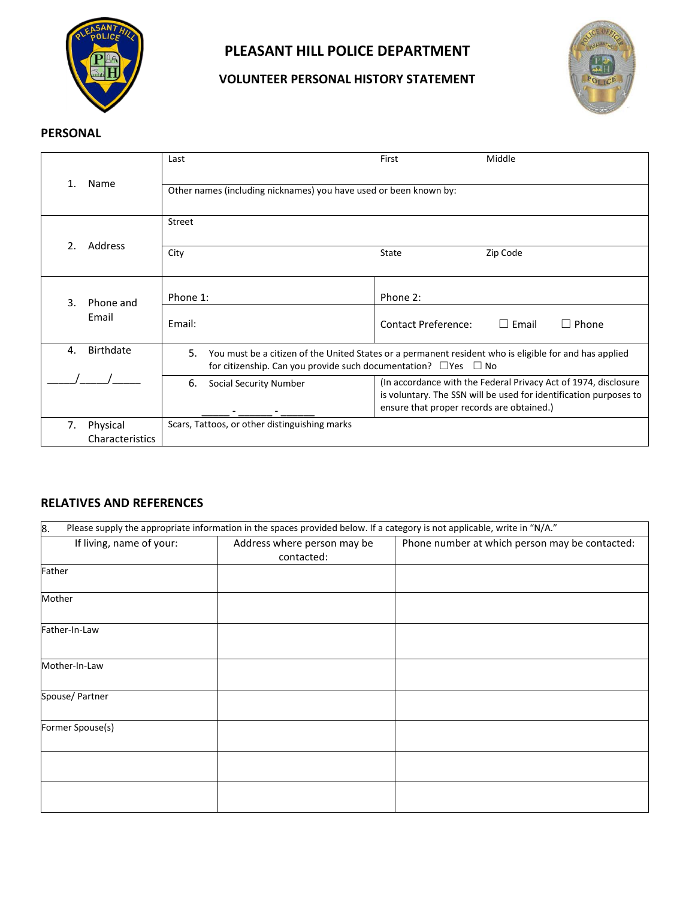

# **PLEASANT HILL POLICE DEPARTMENT**

## **VOLUNTEER PERSONAL HISTORY STATEMENT**



### **PERSONAL**

|                |                             | Last                                                                                                                                                                                      | First                                     | Middle                                                                                                                               |  |  |
|----------------|-----------------------------|-------------------------------------------------------------------------------------------------------------------------------------------------------------------------------------------|-------------------------------------------|--------------------------------------------------------------------------------------------------------------------------------------|--|--|
|                | Name                        | Other names (including nicknames) you have used or been known by:                                                                                                                         |                                           |                                                                                                                                      |  |  |
|                | Address                     | <b>Street</b>                                                                                                                                                                             |                                           |                                                                                                                                      |  |  |
| $\mathcal{P}$  |                             | City                                                                                                                                                                                      | State                                     | Zip Code                                                                                                                             |  |  |
| 3.             | Phone and                   | Phone 1:                                                                                                                                                                                  | Phone 2:                                  |                                                                                                                                      |  |  |
|                | Email                       | Email:                                                                                                                                                                                    | <b>Contact Preference:</b>                | $\Box$ Email<br>$\Box$ Phone                                                                                                         |  |  |
| $\mathbf{4}$ . | Birthdate                   | 5.<br>You must be a citizen of the United States or a permanent resident who is eligible for and has applied<br>for citizenship. Can you provide such documentation? $\Box$ Yes $\Box$ No |                                           |                                                                                                                                      |  |  |
|                |                             | 6.<br><b>Social Security Number</b>                                                                                                                                                       | ensure that proper records are obtained.) | (In accordance with the Federal Privacy Act of 1974, disclosure<br>is voluntary. The SSN will be used for identification purposes to |  |  |
| 7.             | Physical<br>Characteristics | Scars, Tattoos, or other distinguishing marks                                                                                                                                             |                                           |                                                                                                                                      |  |  |

## **RELATIVES AND REFERENCES**

| 8.                       | Please supply the appropriate information in the spaces provided below. If a category is not applicable, write in "N/A." |                                                |  |  |
|--------------------------|--------------------------------------------------------------------------------------------------------------------------|------------------------------------------------|--|--|
| If living, name of your: | Address where person may be<br>contacted:                                                                                | Phone number at which person may be contacted: |  |  |
| Father                   |                                                                                                                          |                                                |  |  |
| Mother                   |                                                                                                                          |                                                |  |  |
| Father-In-Law            |                                                                                                                          |                                                |  |  |
| Mother-In-Law            |                                                                                                                          |                                                |  |  |
| Spouse/ Partner          |                                                                                                                          |                                                |  |  |
| Former Spouse(s)         |                                                                                                                          |                                                |  |  |
|                          |                                                                                                                          |                                                |  |  |
|                          |                                                                                                                          |                                                |  |  |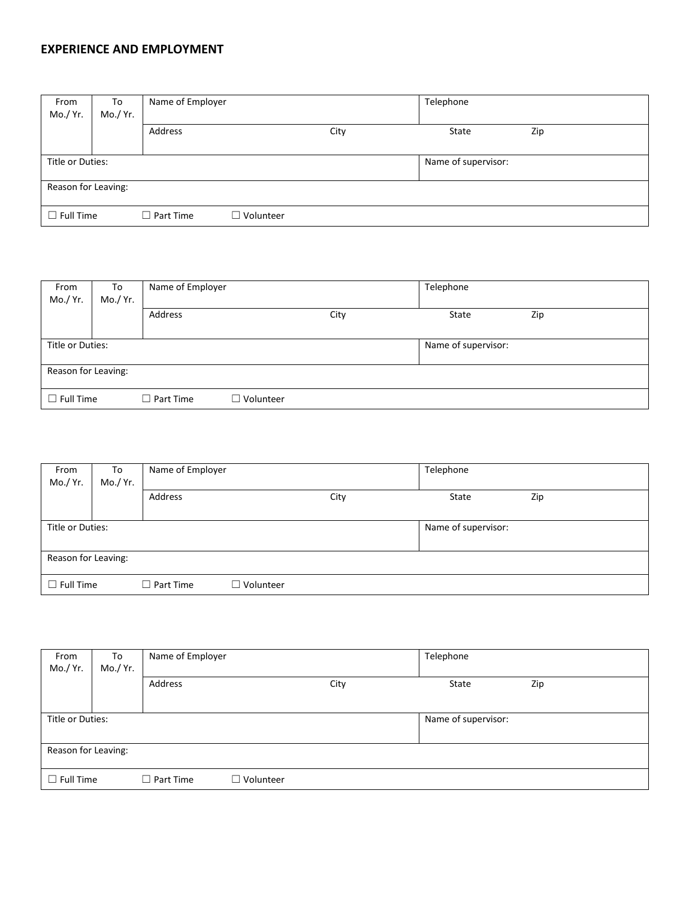#### **EXPERIENCE AND EMPLOYMENT**

| From<br>Mo./ Yr.    | To<br>Mo./ Yr. | Name of Employer |                  | Telephone |                     |       |     |
|---------------------|----------------|------------------|------------------|-----------|---------------------|-------|-----|
|                     |                | Address          |                  | City      |                     | State | Zip |
| Title or Duties:    |                |                  |                  |           | Name of supervisor: |       |     |
| Reason for Leaving: |                |                  |                  |           |                     |       |     |
| $\Box$ Full Time    |                | $\Box$ Part Time | $\Box$ Volunteer |           |                     |       |     |

| From<br>Mo./ Yr.    | To<br>Mo./ Yr. | Name of Employer |                  |                     | Telephone |     |  |
|---------------------|----------------|------------------|------------------|---------------------|-----------|-----|--|
|                     |                | Address          |                  | City                | State     | Zip |  |
| Title or Duties:    |                |                  |                  | Name of supervisor: |           |     |  |
| Reason for Leaving: |                |                  |                  |                     |           |     |  |
| $\Box$ Full Time    |                | $\Box$ Part Time | $\Box$ Volunteer |                     |           |     |  |

| From<br>Mo./ Yr. | To<br>Mo./ Yr.      | Name of Employer |                  |                     | Telephone |     |
|------------------|---------------------|------------------|------------------|---------------------|-----------|-----|
|                  |                     | Address          |                  | City                | State     | Zip |
| Title or Duties: |                     |                  |                  | Name of supervisor: |           |     |
|                  | Reason for Leaving: |                  |                  |                     |           |     |
| $\Box$ Full Time |                     | $\Box$ Part Time | $\Box$ Volunteer |                     |           |     |

| From<br>Mo./ Yr.    | To<br>Mo./ Yr. | Name of Employer |                  |                     | Telephone |     |
|---------------------|----------------|------------------|------------------|---------------------|-----------|-----|
|                     |                | Address          |                  | City                | State     | Zip |
| Title or Duties:    |                |                  |                  | Name of supervisor: |           |     |
| Reason for Leaving: |                |                  |                  |                     |           |     |
| $\Box$ Full Time    |                | $\Box$ Part Time | $\Box$ Volunteer |                     |           |     |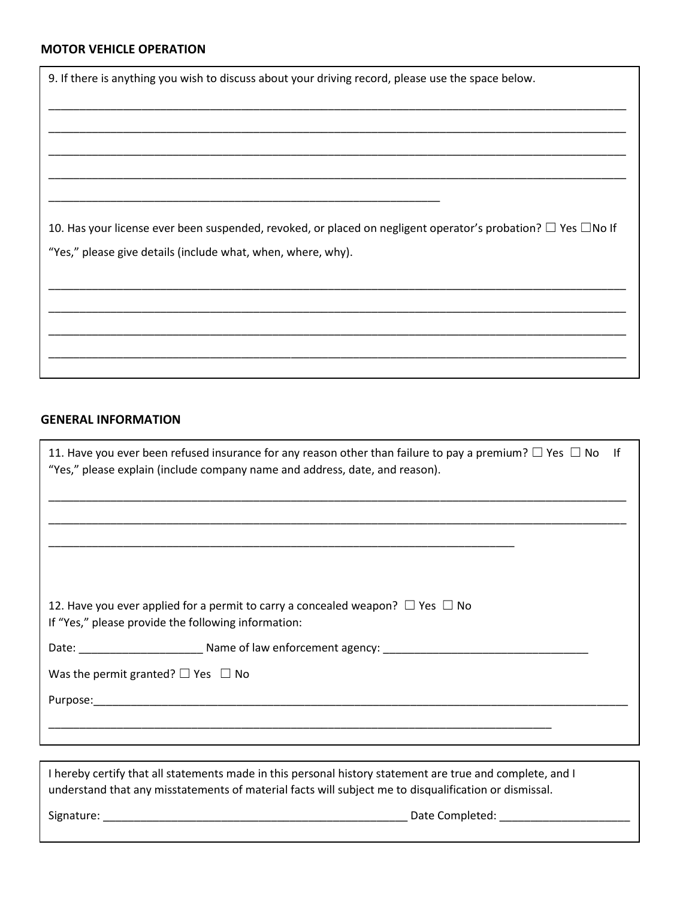## **MOTOR VEHICLE OPERATION**

| <b>MOTOR VEHICLE OPERATION</b>                                                                                          |
|-------------------------------------------------------------------------------------------------------------------------|
| 9. If there is anything you wish to discuss about your driving record, please use the space below.                      |
|                                                                                                                         |
|                                                                                                                         |
|                                                                                                                         |
|                                                                                                                         |
|                                                                                                                         |
|                                                                                                                         |
| 10. Has your license ever been suspended, revoked, or placed on negligent operator's probation? $\Box$ Yes $\Box$ No If |
| "Yes," please give details (include what, when, where, why).                                                            |
|                                                                                                                         |
|                                                                                                                         |
|                                                                                                                         |

\_\_\_\_\_\_\_\_\_\_\_\_\_\_\_\_\_\_\_\_\_\_\_\_\_\_\_\_\_\_\_\_\_\_\_\_\_\_\_\_\_\_\_\_\_\_\_\_\_\_\_\_\_\_\_\_\_\_\_\_\_\_\_\_\_\_\_\_\_\_\_\_\_\_\_\_\_\_\_\_\_\_\_\_\_\_\_\_\_\_\_\_\_

\_\_\_\_\_\_\_\_\_\_\_\_\_\_\_\_\_\_\_\_\_\_\_\_\_\_\_\_\_\_\_\_\_\_\_\_\_\_\_\_\_\_\_\_\_\_\_\_\_\_\_\_\_\_\_\_\_\_\_\_\_\_\_\_\_\_\_\_\_\_\_\_\_\_\_\_\_\_\_\_\_\_\_\_\_\_\_\_\_\_\_\_\_

#### **GENERAL INFORMATION**

| 11. Have you ever been refused insurance for any reason other than failure to pay a premium? $\Box$ Yes $\Box$ No If<br>"Yes," please explain (include company name and address, date, and reason). |
|-----------------------------------------------------------------------------------------------------------------------------------------------------------------------------------------------------|
|                                                                                                                                                                                                     |
|                                                                                                                                                                                                     |
| 12. Have you ever applied for a permit to carry a concealed weapon? $\Box$ Yes $\Box$ No<br>If "Yes," please provide the following information:                                                     |
| Date: Name of law enforcement agency:                                                                                                                                                               |
| Was the permit granted? $\Box$ Yes $\Box$ No                                                                                                                                                        |
|                                                                                                                                                                                                     |
|                                                                                                                                                                                                     |
|                                                                                                                                                                                                     |

I hereby certify that all statements made in this personal history statement are true and complete, and I understand that any misstatements of material facts will subject me to disqualification or dismissal.

Signature: \_\_\_\_\_\_\_\_\_\_\_\_\_\_\_\_\_\_\_\_\_\_\_\_\_\_\_\_\_\_\_\_\_\_\_\_\_\_\_\_\_\_\_\_\_\_\_\_\_ Date Completed: \_\_\_\_\_\_\_\_\_\_\_\_\_\_\_\_\_\_\_\_\_